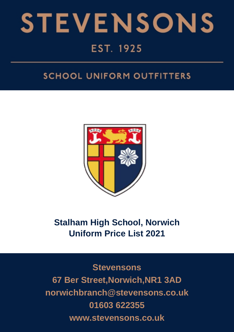

## **SCHOOL UNIFORM OUTFITTERS**



# **Stalham High School, Norwich Uniform Price List 2021**

**Stevensons 67 Ber Street,Norwich,NR1 3AD norwichbranch@stevensons.co.uk 01603 622355 www.stevensons.co.uk**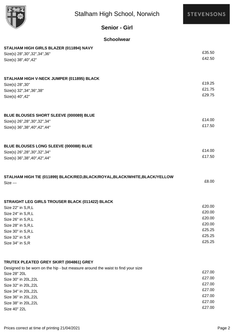

**STEVENSONS** 

## **Senior - Girl**

#### **Schoolwear**

| STALHAM HIGH GIRLS BLAZER (011894) NAVY                                         |                  |  |  |
|---------------------------------------------------------------------------------|------------------|--|--|
| Size(s) 28", 30", 32", 34", 36"                                                 | £35.50           |  |  |
| Size(s) 38", 40", 42"                                                           | £42.50           |  |  |
|                                                                                 |                  |  |  |
| STALHAM HIGH V-NECK JUMPER (011895) BLACK                                       |                  |  |  |
| Size(s) 28", 30"                                                                | £19.25           |  |  |
| Size(s) 32", 34", 36", 38"                                                      | £21.75<br>£29.75 |  |  |
| Size(s) 40", 42"                                                                |                  |  |  |
| BLUE BLOUSES SHORT SLEEVE (000089) BLUE                                         |                  |  |  |
| Size(s) 26", 28", 30", 32", 34"                                                 | £14.00           |  |  |
| Size(s) 36", 38", 40", 42", 44"                                                 | £17.50           |  |  |
|                                                                                 |                  |  |  |
| BLUE BLOUSES LONG SLEEVE (000088) BLUE                                          | £14.00           |  |  |
| Size(s) 26", 28", 30", 32", 34"                                                 |                  |  |  |
| Size(s) 36", 38", 40", 42", 44"                                                 | £17.50           |  |  |
| STALHAM HIGH TIE (011899) BLACK/RED, BLACK/ROYAL, BLACK/WHITE, BLACK/YELLOW     |                  |  |  |
| <b>Size ---</b>                                                                 | £8.00            |  |  |
|                                                                                 |                  |  |  |
| STRAIGHT LEG GIRLS TROUSER BLACK (011422) BLACK                                 | £20.00           |  |  |
|                                                                                 |                  |  |  |
| Size 22" in S,R,L                                                               |                  |  |  |
| Size 24" in S,R,L                                                               | £20.00           |  |  |
| Size 26" in S,R,L                                                               | £20.00           |  |  |
| Size 28" in S,R,L                                                               | £20.00<br>£25.25 |  |  |
| Size 30" in S,R,L                                                               | £25.25           |  |  |
| Size 32" in S,R<br>Size 34" in S,R                                              | £25.25           |  |  |
|                                                                                 |                  |  |  |
| TRUTEX PLEATED GREY SKIRT (004861) GREY                                         |                  |  |  |
| Designed to be worn on the hip - but measure around the waist to find your size | £27.00           |  |  |
| Size 28" 20L                                                                    | £27.00           |  |  |
| Size 30" in 20L,22L                                                             | £27.00           |  |  |
| Size 32" in 20L,22L                                                             | £27.00           |  |  |
| Size 34" in 20L, 22L<br>Size 36" in 20L, 22L                                    | £27.00           |  |  |

£27.00 Size 40" 22L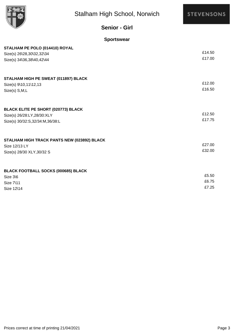

## **STEVENSONS**

## **Senior - Girl**

### **Sportswear**

| STALHAM PE POLO (014410) ROYAL              |        |
|---------------------------------------------|--------|
| Size(s) 26\28,30\32,32\34                   | £14.50 |
| Size(s) 34\36,38\40,42\44                   | £17.00 |
| STALHAM HIGH PE SWEAT (011897) BLACK        |        |
| Size(s) 9\10,11\12,13                       | £12.00 |
| Size(s) S,M,L                               | £16.50 |
| <b>BLACK ELITE PE SHORT (020773) BLACK</b>  |        |
| Size(s) 26/28:LY, 28/30: XLY                | £12.50 |
| Size(s) 30/32:S,32/34:M,36/38:L             | £17.75 |
| STALHAM HIGH TRACK PANTS NEW (023892) BLACK |        |
| Size 12/13 LY                               | £27.00 |
| Size(s) 28/30 XLY, 30/32 S                  | £32.00 |
| <b>BLACK FOOTBALL SOCKS (000685) BLACK</b>  |        |
| Size 3\6                                    | £5.50  |
| Size 7\11                                   | £6.75  |
| Size 12\14                                  | £7.25  |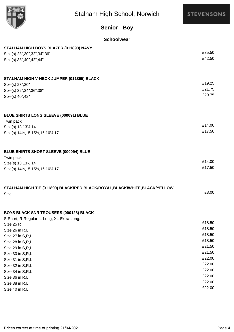

**STEVENSONS** 

|  | <b>Senior - Boy</b> |
|--|---------------------|
|  |                     |

#### **Schoolwear**

| STALHAM HIGH BOYS BLAZER (011893) NAVY                                      |        |
|-----------------------------------------------------------------------------|--------|
| Size(s) 28", 30", 32", 34", 36"                                             | £35.50 |
| Size(s) 38", 40", 42", 44"                                                  | £42.50 |
|                                                                             |        |
| STALHAM HIGH V-NECK JUMPER (011895) BLACK                                   |        |
| Size(s) 28", 30"                                                            | £19.25 |
| Size(s) 32", 34", 36", 38"                                                  | £21.75 |
| Size(s) 40", 42"                                                            | £29.75 |
| BLUE SHIRTS LONG SLEEVE (000091) BLUE                                       |        |
| Twin pack                                                                   |        |
| Size(s) 13,131/2,14                                                         | £14.00 |
| Size(s) 141/2, 15, 151/2, 16, 161/2, 17                                     | £17.50 |
|                                                                             |        |
| BLUE SHIRTS SHORT SLEEVE (000094) BLUE                                      |        |
| Twin pack                                                                   | £14.00 |
| Size(s) 13,131/2,14                                                         | £17.50 |
| Size(s) 141/2, 15, 151/2, 16, 161/2, 17                                     |        |
| STALHAM HIGH TIE (011899) BLACK/RED, BLACK/ROYAL, BLACK/WHITE, BLACK/YELLOW |        |
| Size ---                                                                    | £8.00  |
|                                                                             |        |
| <b>BOYS BLACK SNR TROUSERS (000128) BLACK</b>                               |        |
| S-Short, R-Regular, L-Long, XL-Extra Long.                                  | £18.50 |
| Size 25 R                                                                   | £18.50 |
| Size 26 in R,L                                                              | £18.50 |
| Size 27 in S,R,L                                                            | £18.50 |
| Size 28 in S,R,L                                                            | £21.50 |
| Size 29 in S,R,L                                                            | £21.50 |
| Size 30 in S,R,L                                                            | £22.00 |
| Size 31 in S,R,L                                                            | £22.00 |
| Size 32 in S,R,L                                                            | £22.00 |
| Size 34 in S,R,L                                                            | £22.00 |
| Size 36 in R,L                                                              | £22.00 |
| Size 38 in R,L                                                              | £22.00 |
| Size 40 in R,L                                                              |        |